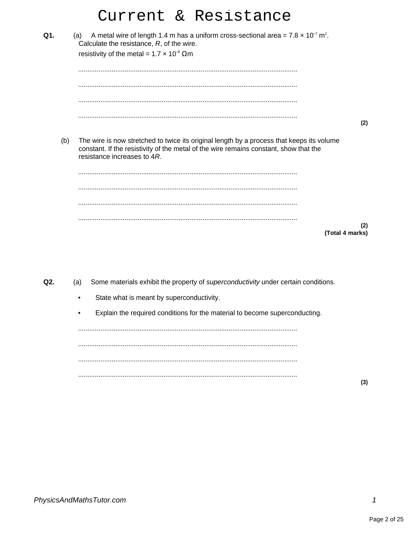|     |     |     |                                                                                                    | Current & Resistance                                                                                                                                                               |
|-----|-----|-----|----------------------------------------------------------------------------------------------------|------------------------------------------------------------------------------------------------------------------------------------------------------------------------------------|
| Q1. |     | (a) | Calculate the resistance, $R$ , of the wire.<br>resistivity of the metal = $1.7 \times 10^{-8}$ Qm | A metal wire of length 1.4 m has a uniform cross-sectional area = $7.8 \times 10^{-7}$ m <sup>2</sup> .                                                                            |
|     |     |     |                                                                                                    |                                                                                                                                                                                    |
|     |     |     |                                                                                                    |                                                                                                                                                                                    |
|     |     |     |                                                                                                    | (2)                                                                                                                                                                                |
|     | (b) |     | resistance increases to 4R.                                                                        | The wire is now stretched to twice its original length by a process that keeps its volume<br>constant. If the resistivity of the metal of the wire remains constant, show that the |
|     |     |     |                                                                                                    |                                                                                                                                                                                    |
|     |     |     |                                                                                                    |                                                                                                                                                                                    |
|     |     |     |                                                                                                    |                                                                                                                                                                                    |
|     |     |     |                                                                                                    | (2)                                                                                                                                                                                |
|     |     |     |                                                                                                    | (Total 4 marks)                                                                                                                                                                    |
|     |     |     |                                                                                                    |                                                                                                                                                                                    |
| Q2. |     | (a) |                                                                                                    | Some materials exhibit the property of superconductivity under certain conditions.                                                                                                 |

- State what is meant by superconductivity.  $\bullet$
- Explain the required conditions for the material to become superconducting.  $\bullet$

 $(3)$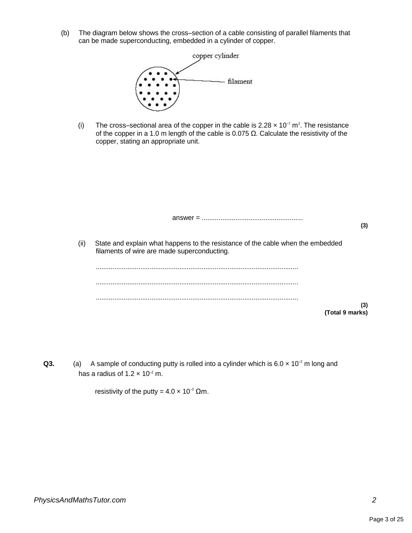(b) The diagram below shows the cross–section of a cable consisting of parallel filaments that can be made superconducting, embedded in a cylinder of copper.



(i) The cross-sectional area of the copper in the cable is  $2.28 \times 10^{-7}$  m<sup>2</sup>. The resistance of the copper in a 1.0 m length of the cable is 0.075 Ω. Calculate the resistivity of the copper, stating an appropriate unit.

|      | $answer = 1$                                                                                                                   | (3) |
|------|--------------------------------------------------------------------------------------------------------------------------------|-----|
| (ii) | State and explain what happens to the resistance of the cable when the embedded<br>filaments of wire are made superconducting. |     |
|      |                                                                                                                                |     |
|      | (Total 9 marks)                                                                                                                | (3) |

**Q3.** (a) A sample of conducting putty is rolled into a cylinder which is 6.0  $\times$  10<sup>-2</sup> m long and has a radius of 1.2  $\times$  10<sup>-2</sup> m.

resistivity of the putty =  $4.0 \times 10^{-3}$  Qm.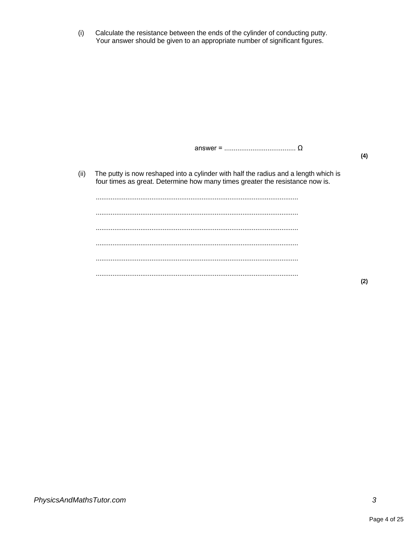(i) Calculate the resistance between the ends of the cylinder of conducting putty. Your answer should be given to an appropriate number of significant figures.

answer = ...................................... Ω

**(4)**

(ii) The putty is now reshaped into a cylinder with half the radius and a length which is four times as great. Determine how many times greater the resistance now is.

............................................................................................................. ............................................................................................................. ............................................................................................................. ............................................................................................................. ............................................................................................................. .............................................................................................................

**(2)**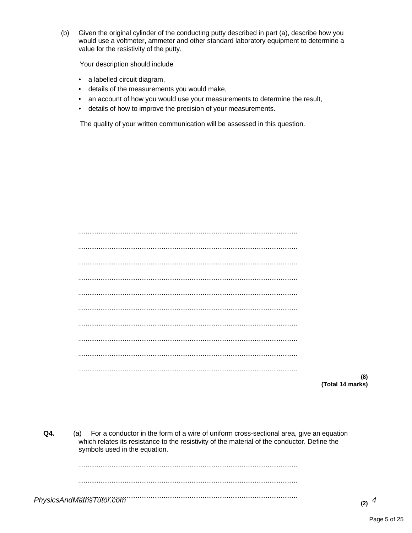$(b)$ Given the original cylinder of the conducting putty described in part (a), describe how you would use a voltmeter, ammeter and other standard laboratory equipment to determine a value for the resistivity of the putty.

Your description should include

- a labelled circuit diagram,
- details of the measurements you would make,
- an account of how you would use your measurements to determine the result,
- details of how to improve the precision of your measurements.

The quality of your written communication will be assessed in this question.

(Total 14 marks)

 $(8)$ 

Q4. (a) For a conductor in the form of a wire of uniform cross-sectional area, give an equation which relates its resistance to the resistivity of the material of the conductor. Define the symbols used in the equation.

PhysicsAndMäthsTütör.com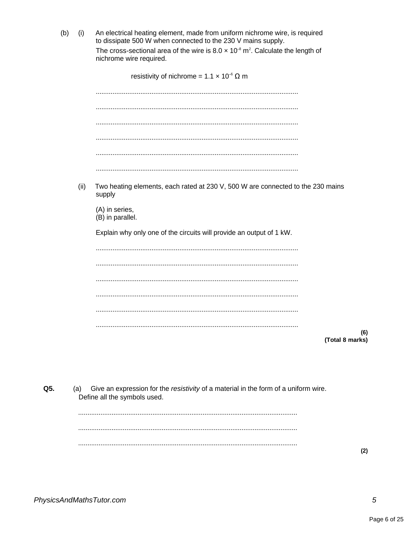$(b)$  $(i)$ An electrical heating element, made from uniform nichrome wire, is required to dissipate 500 W when connected to the 230 V mains supply. The cross-sectional area of the wire is  $8.0 \times 10^{-8}$  m<sup>2</sup>. Calculate the length of nichrome wire required.

|      | resistivity of nichrome = $1.1 \times 10^{-6} \Omega$ m                                   |
|------|-------------------------------------------------------------------------------------------|
|      |                                                                                           |
|      |                                                                                           |
|      |                                                                                           |
|      |                                                                                           |
|      |                                                                                           |
|      |                                                                                           |
| (ii) | Two heating elements, each rated at 230 V, 500 W are connected to the 230 mains<br>supply |
|      | (A) in series,<br>(B) in parallel.                                                        |
|      | Explain why only one of the circuits will provide an output of 1 kW.                      |
|      |                                                                                           |
|      |                                                                                           |
|      |                                                                                           |
|      |                                                                                           |
|      |                                                                                           |
|      |                                                                                           |
|      | (6)<br>(Total 8 marks)                                                                    |

Q5. Give an expression for the resistivity of a material in the form of a uniform wire.  $(a)$ Define all the symbols used.

 $(2)$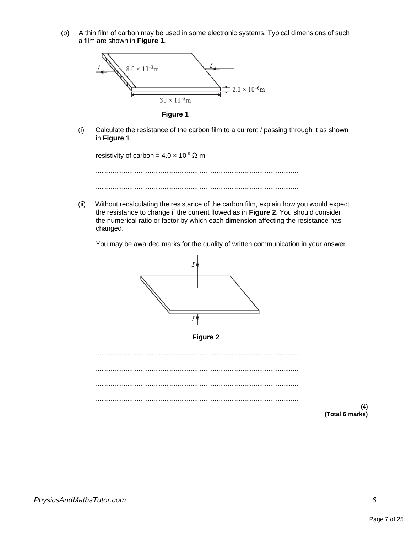(b) A thin film of carbon may be used in some electronic systems. Typical dimensions of such a film are shown in **Figure 1**.



**Figure 1**

(i) Calculate the resistance of the carbon film to a current I passing through it as shown in **Figure 1**.

resistivity of carbon =  $4.0 \times 10^{-5} \Omega$  m

............................................................................................................. .............................................................................................................

(ii) Without recalculating the resistance of the carbon film, explain how you would expect the resistance to change if the current flowed as in **Figure 2**. You should consider the numerical ratio or factor by which each dimension affecting the resistance has changed.

You may be awarded marks for the quality of written communication in your answer.



**Figure 2**

............................................................................................................. ............................................................................................................. ............................................................................................................. .............................................................................................................

**(4) (Total 6 marks)**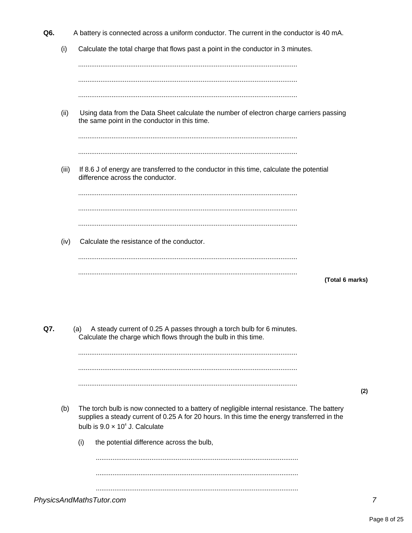- O<sub>6</sub> A battery is connected across a uniform conductor. The current in the conductor is 40 mA.
	- $(i)$ Calculate the total charge that flows past a point in the conductor in 3 minutes.

 $(ii)$ Using data from the Data Sheet calculate the number of electron charge carriers passing the same point in the conductor in this time. If 8.6 J of energy are transferred to the conductor in this time, calculate the potential  $(iii)$ difference across the conductor.  $(iv)$ Calculate the resistance of the conductor. (Total 6 marks) A steady current of 0.25 A passes through a torch bulb for 6 minutes. (a) Calculate the charge which flows through the bulb in this time. 

- $(2)$
- The torch bulb is now connected to a battery of negligible internal resistance. The battery  $(b)$ supplies a steady current of 0.25 A for 20 hours. In this time the energy transferred in the bulb is  $9.0 \times 10^4$  J. Calculate
	- the potential difference across the bulb,  $(i)$

PhysicsAndMathsTutor.com

Q7.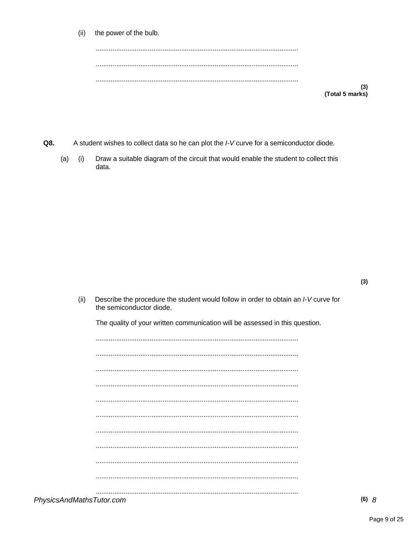| (ii)<br>the power of the bulb. |
|--------------------------------|
|--------------------------------|

| (Total 5 marks) |
|-----------------|

- Q8. A student wishes to collect data so he can plot the I-V curve for a semiconductor diode.
	- $(a)$  (i) Draw a suitable diagram of the circuit that would enable the student to collect this data.

Describe the procedure the student would follow in order to obtain an I-V curve for  $(ii)$ the semiconductor diode.

The quality of your written communication will be assessed in this question.

PhysicsAndMathsTutor.com

 $(3)$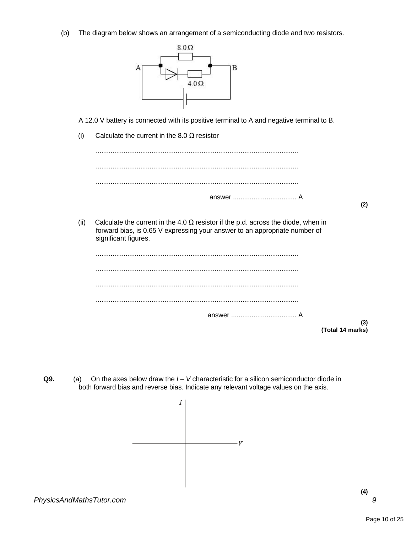(b) The diagram below shows an arrangement of a semiconducting diode and two resistors.



A 12.0 V battery is connected with its positive terminal to A and negative terminal to B.

(i) Calculate the current in the 8.0  $\Omega$  resistor



**Q9.** (a) On the axes below draw the  $I - V$  characteristic for a silicon semiconductor diode in both forward bias and reverse bias. Indicate any relevant voltage values on the axis.

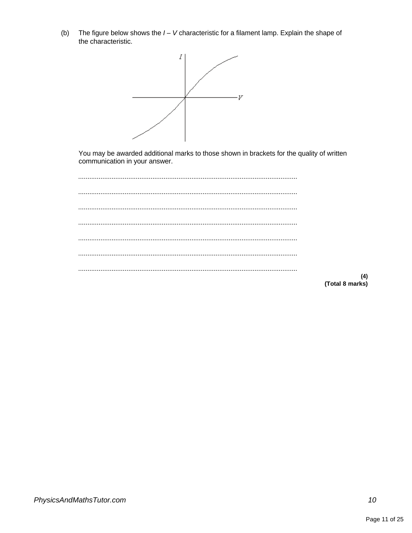The figure below shows the  $I - V$  characteristic for a filament lamp. Explain the shape of  $(b)$ the characteristic.



You may be awarded additional marks to those shown in brackets for the quality of written communication in your answer.

 $(4)$ (Total 8 marks)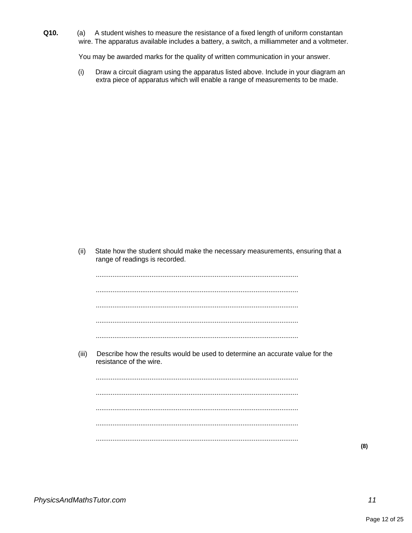**Q10.** (a) A student wishes to measure the resistance of a fixed length of uniform constantan wire. The apparatus available includes a battery, a switch, a milliammeter and a voltmeter.

You may be awarded marks for the quality of written communication in your answer.

(i) Draw a circuit diagram using the apparatus listed above. Include in your diagram an extra piece of apparatus which will enable a range of measurements to be made.

(ii) State how the student should make the necessary measurements, ensuring that a range of readings is recorded.

............................................................................................................. ............................................................................................................. ............................................................................................................. ............................................................................................................. .............................................................................................................

(iii) Describe how the results would be used to determine an accurate value for the resistance of the wire.

............................................................................................................. ............................................................................................................. ............................................................................................................. ............................................................................................................. .............................................................................................................

**(8)**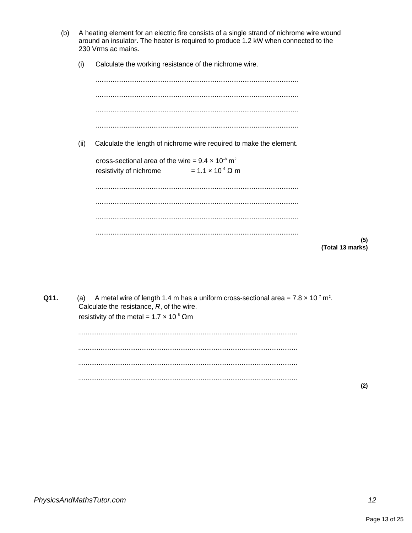- (b) A heating element for an electric fire consists of a single strand of nichrome wire wound around an insulator. The heater is required to produce 1.2 kW when connected to the 230 Vrms ac mains.
	- $(i)$ Calculate the working resistance of the nichrome wire.

| (ii) | Calculate the length of nichrome wire required to make the element.    |                         |
|------|------------------------------------------------------------------------|-------------------------|
|      | cross-sectional area of the wire = $9.4 \times 10^{-8}$ m <sup>2</sup> |                         |
|      | resistivity of nichrome $= 1.1 \times 10^{-6} \Omega$ m                |                         |
|      |                                                                        |                         |
|      |                                                                        |                         |
|      |                                                                        |                         |
|      |                                                                        | (5)<br>(Total 13 marks) |

Q11. (a) A metal wire of length 1.4 m has a uniform cross-sectional area =  $7.8 \times 10^{-7}$  m<sup>2</sup>. Calculate the resistance, R, of the wire. resistivity of the metal =  $1.7 \times 10^{-8}$   $\Omega$ m

 $(2)$